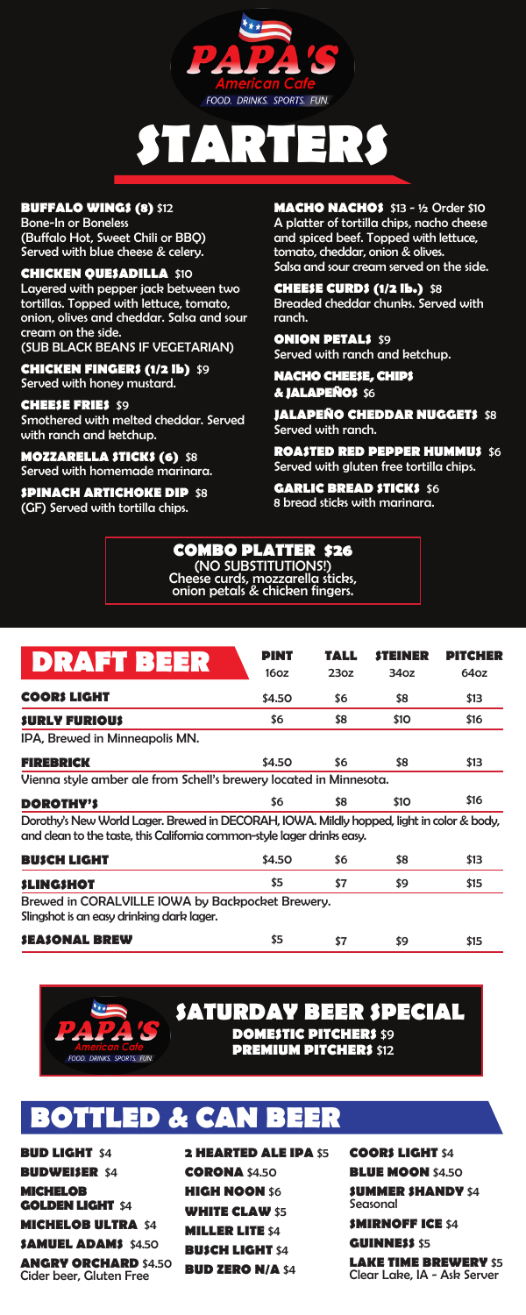

# **STARTERS**

#### **BUFFALO WINGS (8)** \$12

Bone-In or Boneless (Buffalo Hot, Sweet Chili or BBQ) Served with blue cheese & celery.

**CHICKEN QUESADILLA** \$10 Layered with pepper jack between two tortillas. Topped with lettuce, tomato, onion, olives and cheddar. Salsa and sour cream on the side. (SUB BLACK BEANS IF VEGETARIAN)

**CHICKEN FINGERS (1/2 lb)** \$9

Served with honey mustard.

**CHEESE FRIES** \$9 Smothered with melted cheddar. Served with ranch and ketchup.

**MOZZARELLA STICKS (6)** \$8 Served with homemade marinara.

**SPINACH ARTICHOKE DIP** \$8 (GF) Served with tortilla chips.

**MACHO NACHOS** \$13 - ½ Order \$10 A platter of tortilla chips, nacho cheese and spiced beef. Topped with lettuce, tomato, cheddar, onion & olives. Salsa and sour cream served on the side.

**CHEESE CURDS (1/2 lb.)** \$8 Breaded cheddar chunks. Served with ranch.

**ONION PETALS \$9** Served with ranch and ketchup.

**NACHO CHEESE, CHIPS & JALAPEÑOS** \$6

**JALAPEÑO CHEDDAR NUGGETS** \$8 Served with ranch.

**ROASTED RED PEPPER HUMMUS** \$6 Served with gluten free tortilla chips.

**GARLIC BREAD STICKS \$6** 8 bread sticks with marinara.



| <b>DRAFT BEER</b>                                                                                                                                                    | PINT<br>16 <sub>oz</sub> | TALL<br>23oz | <i><b>STEINER</b></i><br>34 <sub>oz</sub> | PITCHER<br>64oz |
|----------------------------------------------------------------------------------------------------------------------------------------------------------------------|--------------------------|--------------|-------------------------------------------|-----------------|
| <b>COORS LIGHT</b>                                                                                                                                                   | \$4.50                   | \$6          | \$8                                       | \$13            |
| <b>SURLY FURIOUS</b>                                                                                                                                                 | \$6                      | \$8          | \$10                                      | \$16            |
| IPA, Brewed in Minneapolis MN.                                                                                                                                       |                          |              |                                           |                 |
| <b>FIREBRICK</b>                                                                                                                                                     | \$4.50                   | \$6          | \$8                                       | \$13            |
| Vienna style amber ale from Schell's brewery located in Minnesota.                                                                                                   |                          |              |                                           |                 |
| <b>DOROTHY'S</b>                                                                                                                                                     | \$6                      | \$8          | \$10                                      | \$16            |
| Dorothy's New World Lager. Brewed in DECORAH, IOWA. Mildly hopped, light in color & body,<br>and clean to the taste, this California common-style lager drinks easy. |                          |              |                                           |                 |
| <b>BUSCH LIGHT</b>                                                                                                                                                   | \$4.50                   | \$6          | \$8                                       | \$13            |
| <b>SLINGSHOT</b>                                                                                                                                                     | \$5                      | \$7          | \$9                                       | \$15            |
| Brewed in CORALVILLE IOWA by Backpocket Brewery.<br>Slingshot is an easy drinking dark lager.                                                                        |                          |              |                                           |                 |

#### **SEASONAL BREW**



\$5

\$7

\$9

\$15

### LED & CA

**BUD LIGHT** \$4 **BUDWEISER** \$4 **MICHELOB GOLDEN LIGHT** \$4 **MICHELOB ULTRA** \$4 **SAMUEL ADAMS** \$4.50 **ANGRY ORCHARD** \$4.50 Cider beer, Gluten Free

**2 HEARTED ALE IPA** \$5 **CORONA** \$4.50 **HIGH NOON** \$6 **WHITE CLAW** \$5 **MILLER LITE** \$4 **BUSCH LIGHT** \$4 **BUD ZERO N/A** \$4

**COORS LIGHT** \$4 **BLUE MOON \$4.50 SUMMER SHANDY** \$4 Seasonal **SMIRNOFF ICE** \$4 **GUINNESS** \$5 **LAKE TIME BREWERY** \$5

Clear Lake, IA - Ask Server